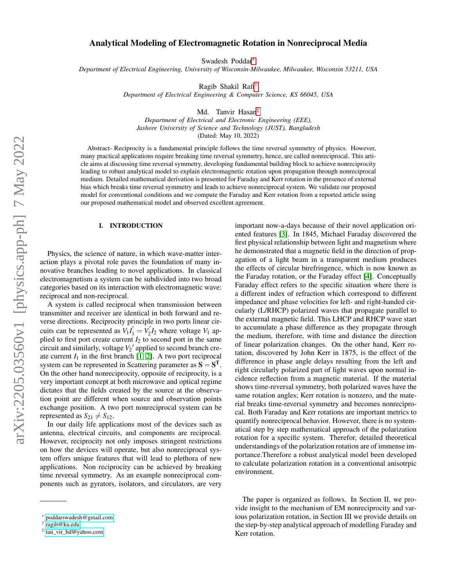# Analytical Modeling of Electromagnetic Rotation in Nonreciprocal Media

Swadesh Poddar[∗](#page-0-0)

*Department of Electrical Engineering, University of Wisconsin-Milwaukee, Milwaukee, Wisconsin 53211, USA*

Ragib Shakil Rafi[†](#page-0-1)

*Department of Electrical Engineering & Computer Science, KS 66045, USA*

Md. Tanvir Hasan[‡](#page-0-2)

*Department of Electrical and Electronic Engineering (EEE), Jashore University of Science and Technology (JUST), Bangladesh* (Dated: May 10, 2022)

Abstract- Reciprocity is a fundamental principle follows the time reversal symmetry of physics. However, many practical applications require breaking time reversal symmetry, hence, are called nonreciprocal. This article aims at discussing time reversal symmetry, developing fundamental building block to achieve nonreciprocity leading to robust analytical model to explain electromagnetic rotation upon propagation through nonreciprocal medium. Detailed mathematical derivation is presented for Faraday and Kerr rotation in the presence of external bias which breaks time reversal symmetry and leads to achieve nonreciprocal system. We validate our proposed model for conventional conditions and we compute the Faraday and Kerr rotation from a reported article using our proposed mathematical model and observed excellent agreement.

### I. INTRODUCTION

Physics, the science of nature, in which wave-matter interaction plays a pivotal role paves the foundation of many innovative branches leading to novel applications. In classical electromagnetism a system can be subdivided into two broad categories based on its interaction with electromagnetic wave: reciprocal and non-reciprocal.

A system is called reciprocal when transmission between transmitter and receiver are identical in both forward and reverse directions. Reciprocity principle in two ports linear circuits can be represented as  $V_1 I_1' = V_2'$  $V_2'I_2$  where voltage  $V_1$  applied to first port create current  $I_2$  to second port in the same circuit and similarly, voltage  $V_2'$  applied to second branch create current  $I_1$  in the first branch [\[1,](#page-7-0) [2\]](#page-8-0). A two port reciprocal system can be represented in Scattering parameter as  $S = S<sup>T</sup>$ . On the other hand nonreciprocity, opposite of reciprocity, is a very important concept at both microwave and optical regime dictates that the fields created by the source at the observation point are different when source and observation points exchange position. A two port nonreciprocal system can be represented as  $S_{21} \neq S_{12}$ .

In our daily life applications most of the devices such as antenna, electrical circuits, and components are reciprocal. However, reciprocity not only imposes stringent restrictions on how the devices will operate, but also nonreciprocal system offers unique features that will lead to plethora of new applications. Non reciprocity can be achieved by breaking time reversal symmetry. As an example nonreciprocal components such as gyrators, isolators, and circulators, are very important now-a-days because of their novel application oriented features [\[3\]](#page-8-1). In 1845, Michael Faraday discovered the first physical relationship between light and magnetism where he demonstrated that a magnetic field in the direction of propagation of a light beam in a transparent medium produces the effects of circular birefringence, which is now known as the Faraday rotation, or the Faraday effect [\[4\]](#page-8-2). Conceptually Faraday effect refers to the specific situation where there is a different index of refraction which correspond to different impedance and phase velocities for left- and right-handed circularly (L/RHCP) polarized waves that propagate parallel to the external magnetic field. This LHCP and RHCP wave start to accumulate a phase difference as they propagate through the medium, therefore, with time and distance the direction of linear polarization changes. On the other hand, Kerr rotation, discovered by John Kerr in 1875, is the effect of the difference in phase angle delays resulting from the left and right circularly polarized part of light waves upon normal incidence reflection from a magnetic material. If the material shows time-reversal symmetry, both polarized waves have the same rotation angles; Kerr rotation is nonzero, and the material breaks time-reversal symmetry and becomes nonreciprocal. Both Faraday and Kerr rotations are important metrics to quantify nonreciprocal behavior. However, there is no systematical step by step mathematical approach of the polarization rotation for a specific system. Therefor, detailed theoretical understandings of the polarization rotation are of immense importance.Therefore a robust analytical model been developed to calculate polarization rotation in a conventional anisotrpic environment.

The paper is organized as follows. In Section II, we provide insight to the mechanism of EM nonreciprocity and various polarization rotation, in Section III we provide details on the step-by-step analytical approach of modelling Faraday and Kerr rotation.

<span id="page-0-0"></span><sup>∗</sup> [poddarswadesh@gmail.com](mailto:poddarswadesh@gmail.com)

<span id="page-0-1"></span><sup>†</sup> [ragib@ku.edu](mailto:ragib@ku.edu)

<span id="page-0-2"></span><sup>‡</sup> [tan\\_vir\\_bd@yahoo.com](mailto:tan_vir_bd@yahoo.com)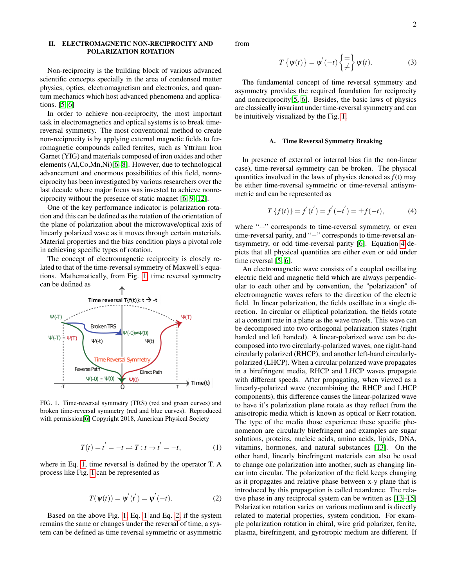## II. ELECTROMAGNETIC NON-RECIPROCITY AND POLARIZATION ROTATION

Non-reciprocity is the building block of various advanced scientific concepts specially in the area of condensed matter physics, optics, electromagnetism and electronics, and quantum mechanics which host advanced phenomena and applications. [\[5,](#page-8-3) [6\]](#page-8-4)

In order to achieve non-reciprocity, the most important task in electromagnetics and optical systems is to break timereversal symmetry. The most conventional method to create non-reciprocity is by applying external magnetic fields to ferromagnetic compounds called ferrites, such as Yttrium Iron Garnet (YIG) and materials composed of iron oxides and other elements (Al,Co,Mn,Ni)[\[6–](#page-8-4)[8\]](#page-8-5). However, due to technological advancement and enormous possibilities of this field, nonreciprocity has been investigated by various researchers over the last decade where major focus was invested to achieve nonreciprocity without the presence of static magnet [\[6,](#page-8-4) [9](#page-8-6)[–12\]](#page-8-7).

One of the key performance indicator is polarization rotation and this can be defined as the rotation of the orientation of the plane of polarization about the microwave/optical axis of linearly polarized wave as it moves through certain materials. Material properties and the bias condition plays a pivotal role in achieving specific types of rotation.

The concept of electromagnetic reciprocity is closely related to that of the time-reversal symmetry of Maxwell's equations. Mathematically, from Fig. [1,](#page-1-0) time reversal symmetry can be defined as



<span id="page-1-0"></span>FIG. 1. Time-reversal symmetry (TRS) (red and green curves) and broken time-reversal symmetry (red and blue curves). Reproduced with permission[\[6\]](#page-8-4) Copyright 2018, American Physical Society

<span id="page-1-1"></span>
$$
T(t) = t^{'} = -t \rightleftharpoons T : t \to t^{'} = -t,
$$
 (1)

where in Eq. [1,](#page-1-1) time reversal is defined by the operator T. A process like Fig. [1](#page-1-0) can be represented as

<span id="page-1-2"></span>
$$
T(\psi(t)) = \psi'(t') = \psi'(-t).
$$
 (2)

Based on the above Fig. [1,](#page-1-0) Eq. [1](#page-1-1) and Eq. [2,](#page-1-2) if the system remains the same or changes under the reversal of time, a system can be defined as time reversal symmetric or asymmetric from

$$
T\left\{\psi(t)\right\} = \psi^{'}(-t)\left\{\frac{=}{\neq}\right\}\psi(t). \tag{3}
$$

The fundamental concept of time reversal symmetry and asymmetry provides the required foundation for reciprocity and nonreciprocity[\[5,](#page-8-3) [6\]](#page-8-4). Besides, the basic laws of physics are classically invariant under time-reversal symmetry and can be intuitively visualized by the Fig. [1.](#page-1-0)

#### A. Time Reversal Symmetry Breaking

In presence of external or internal bias (in the non-linear case), time-reversal symmetry can be broken. The physical quantities involved in the laws of physics denoted as *f*(t) may be either time-reversal symmetric or time-reversal antisymmetric and can be represented as

<span id="page-1-3"></span>
$$
T\{f(t)\} = f^{'}(t^{'}) = f^{'}(-t^{'}) = \pm f(-t), \tag{4}
$$

where "+" corresponds to time-reversal symmetry, or even time-reversal parity, and "−" corresponds to time-reversal antisymmetry, or odd time-reversal parity [\[6\]](#page-8-4). Equation [4](#page-1-3) depicts that all physical quantities are either even or odd under time reversal [\[5,](#page-8-3) [6\]](#page-8-4).

An electromagnetic wave consists of a coupled oscillating electric field and magnetic field which are always perpendicular to each other and by convention, the "polarization" of electromagnetic waves refers to the direction of the electric field. In linear polarization, the fields oscillate in a single direction. In circular or elliptical polarization, the fields rotate at a constant rate in a plane as the wave travels. This wave can be decomposed into two orthogonal polarization states (right handed and left handed). A linear-polarized wave can be decomposed into two circularly-polarized waves, one right-hand circularly polarized (RHCP), and another left-hand circularlypolarized (LHCP). When a circular polarized wave propagates in a birefringent media, RHCP and LHCP waves propagate with different speeds. After propagating, when viewed as a linearly-polarized wave (recombining the RHCP and LHCP components), this difference causes the linear-polarized wave to have it's polarization plane rotate as they reflect from the anisotropic media which is known as optical or Kerr rotation. The type of the media those experience these specific phenomenon are circularly birefringent and examples are sugar solutions, proteins, nucleic acids, amino acids, lipids, DNA, vitamins, hormones, and natural substances [\[13\]](#page-8-8). On the other hand, linearly birefringent materials can also be used to change one polarization into another, such as changing linear into circular. The polarization of the field keeps changing as it propagates and relative phase between x-y plane that is introduced by this propagation is called retardence. The relative phase in any reciprocal system can be written as [\[13–](#page-8-8)[15\]](#page-8-9) Polarization rotation varies on various medium and is directly related to material properties, system condition. For example polarization rotation in chiral, wire grid polarizer, ferrite, plasma, birefringent, and gyrotropic medium are different. If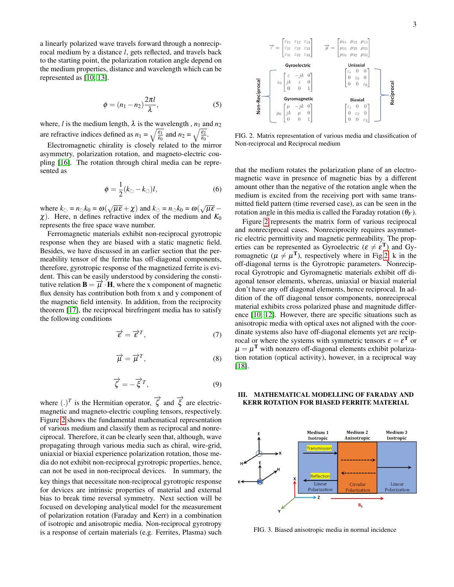a linearly polarized wave travels forward through a nonreciprocal medium by a distance *l*, gets reflected, and travels back to the starting point, the polarization rotation angle depend on the medium properties, distance and wavelength which can be represented as [\[10,](#page-8-10) [13\]](#page-8-8).

$$
\phi = (n_1 - n_2) \frac{2\pi l}{\lambda},\tag{5}
$$

where, *l* is the medium length,  $\lambda$  is the wavelength,  $n_1$  and  $n_2$ are refractive indices defined as  $n_1 = \sqrt{\frac{\varepsilon_1}{\varepsilon_0}}$  and  $n_2 = \sqrt{\frac{\varepsilon_2}{\varepsilon_0}}$ .

Electromagnetic chirality is closely related to the mirror asymmetry, polarization rotation, and magneto-electric coupling [\[16\]](#page-8-11). The rotation through chiral media can be represented as

$$
\phi = \frac{1}{2}(k_{\circlearrowright} - k_{\circlearrowleft})l, \tag{6}
$$

where  $k_{\circlearrowright} = n_{\circlearrowright}k_0 = \omega(\sqrt{\mu \varepsilon} + \chi)$  and  $k_{\circlearrowleft} = n_{\circlearrowleft}k_0 = \omega(\sqrt{\mu \varepsilon} - \chi)$  $\chi$ ). Here, n defines refractive index of the medium and  $K_0$ represents the free space wave number.

Ferromagnetic materials exhibit non-reciprocal gyrotropic response when they are biased with a static magnetic field. Besides, we have discussed in an earlier section that the permeability tensor of the ferrite has off-diagonal components, therefore, gyrotropic response of the magnetized ferrite is evident. This can be easily understood by considering the constitutive relation  $\mathbf{B} = \vec{\mu} \cdot \mathbf{H}$ , where the x component of magnetic flux density has contribution both from x and y component of the magnetic field intensity. In addition, from the reciprocity theorem [\[17\]](#page-8-12), the reciprocal birefringent media has to satisfy the following conditions

$$
\overrightarrow{\epsilon} = \overrightarrow{\epsilon}^T,\tag{7}
$$

$$
\overrightarrow{\mu} = \overrightarrow{\mu}^T,\tag{8}
$$

$$
\overrightarrow{\zeta} = -\overrightarrow{\xi}^T,\tag{9}
$$

where  $(.)^T$  is the Hermitian operator,  $\overrightarrow{\zeta}$  and  $\overrightarrow{\xi}$  are electricmagnetic and magneto-electric coupling tensors, respectively. Figure [2](#page-2-0) shows the fundamental mathematical representation of various medium and classify them as reciprocal and nonreciprocal. Therefore, it can be clearly seen that, although, wave propagating through various media such as chiral, wire-grid, uniaxial or biaxial experience polarization rotation, those media do not exhibit non-reciprocal gyrotropic properties, hence, can not be used in non-reciprocal devices. In summary, the key things that necessitate non-reciprocal gyrotropic response for devices are intrinsic properties of material and external bias to break time reversal symmetry. Next section will be focused on developing analytical model for the measurement of polarization rotation (Faraday and Kerr) in a combination of isotropic and anisotropic media. Non-reciprocal gyrotropy is a response of certain materials (e.g. Ferrites, Plasma) such



<span id="page-2-0"></span>FIG. 2. Matrix representation of various media and classification of Non-reciprocal and Reciprocal medium

that the medium rotates the polarization plane of an electromagnetic wave in presence of magnetic bias by a different amount other than the negative of the rotation angle when the medium is excited from the receiving port with same transmitted field pattern (time reversed case), as can be seen in the rotation angle in this media is called the Faraday rotation  $(\theta_F)$ .

Figure [2](#page-2-0) represents the matrix form of various reciprocal and nonreciprocal cases. Nonreciprocity requires asymmetric electric permittivity and magnetic permeability. The properties can be represented as Gyroelectric ( $\varepsilon \neq \varepsilon^T$ ) and Gyromagnetic ( $\mu \neq \mu^{T}$ ), respectively where in Fig[.2,](#page-2-0) k in the off-diagonal terms is the Gyrotropic parameters. Nonreciprocal Gyrotropic and Gyromagnetic materials exhibit off diagonal tensor elements, whereas, uniaxial or biaxial material don't have any off diagonal elements, hence reciprocal. In addition of the off diagonal tensor components, nonreciprocal material exhibits cross polarized phase and magnitude difference [\[10,](#page-8-10) [12\]](#page-8-7). However, there are specific situations such as anisotropic media with optical axes not aligned with the coordinate systems also have off-diagonal elements yet are reciprocal or where the systems with symmetric tensors  $\varepsilon = \varepsilon^T$  or  $\mu = \mu^{\rm T}$  with nonzero off-diagonal elements exhibit polarization rotation (optical activity), however, in a reciprocal way [\[18\]](#page-8-13).

### III. MATHEMATICAL MODELLING OF FARADAY AND KERR ROTATION FOR BIASED FERRITE MATERIAL



<span id="page-2-1"></span>FIG. 3. Biased anisotropic media in normal incidence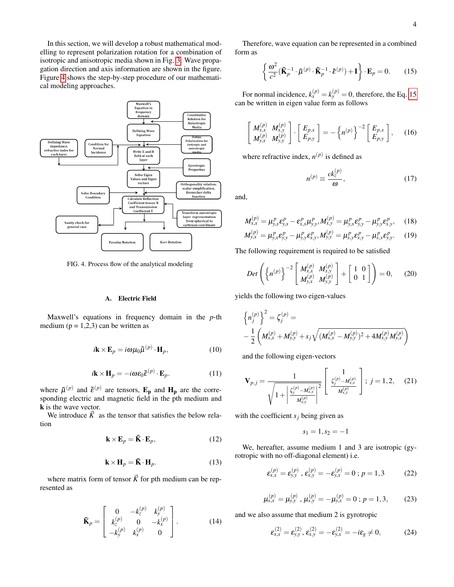In this section, we will develop a robust mathematical modelling to represent polarization rotation for a combination of isotropic and anisotropic media shown in Fig. [3.](#page-2-1) Wave propagation direction and axis information are shown in the figure. Figure [4](#page-3-0) shows the step-by-step procedure of our mathematical modeling approaches.



<span id="page-3-0"></span>FIG. 4. Process flow of the analytical modeling

### A. Electric Field

Maxwell's equations in frequency domain in the *p*-th medium ( $p = 1,2,3$ ) can be written as

$$
i\mathbf{k} \times \mathbf{E}_p = i\omega \mu_0 \tilde{\mu}^{(p)} \cdot \mathbf{H}_p, \qquad (10)
$$

$$
i\mathbf{k} \times \mathbf{H}_p = -i\omega \varepsilon_0 \tilde{\varepsilon}^{(p)} \cdot \mathbf{E}_p.
$$
 (11)

where  $\tilde{\mu}^{(p)}$  and  $\tilde{\epsilon}^{(p)}$  are tensors,  $\mathbf{E}_{\mathbf{p}}$  and  $\mathbf{H}_{\mathbf{p}}$  are the corresponding electric and magnetic field in the pth medium and k is the wave vector.

We introduce  $\vec{K}$  as the tensor that satisfies the below relation

$$
\mathbf{k} \times \mathbf{E}_p = \tilde{\mathbf{K}} \cdot \mathbf{E}_p,\tag{12}
$$

$$
\mathbf{k} \times \mathbf{H}_p = \tilde{\mathbf{K}} \cdot \mathbf{H}_p. \tag{13}
$$

where matrix form of tensor  $\vec{K}$  for pth medium can be represented as

$$
\tilde{\mathbf{K}}_{p} = \begin{bmatrix} 0 & -k_{z}^{(p)} & k_{y}^{(p)} \\ k_{z}^{(p)} & 0 & -k_{x}^{(p)} \\ -k_{y}^{(p)} & k_{x}^{(p)} & 0 \end{bmatrix} . \tag{14}
$$

Therefore, wave equation can be represented in a combined form as

<span id="page-3-1"></span>
$$
\left\{ \frac{\omega^2}{c^2} (\tilde{\mathbf{K}}_p^{-1} \cdot \tilde{\boldsymbol{\mu}}^{(p)} \cdot \tilde{\mathbf{K}}_p^{-1} \cdot \tilde{\boldsymbol{\epsilon}}^{(p)}) + \mathbf{I} \right\} \cdot \mathbf{E}_p = 0.
$$
 (15)

For normal incidence,  $k_x^{(p)} = k_y^{(p)} = 0$ , therefore, the Eq. [15](#page-3-1) can be written in eigen value form as follows

$$
\begin{bmatrix} M_{x,x}^{(p)} & M_{x,y}^{(p)} \\ M_{y,x}^{(p)} & M_{y,y}^{(p)} \end{bmatrix} \cdot \begin{bmatrix} E_{p,x} \\ E_{p,y} \end{bmatrix} = -\left\{ n^{(p)} \right\}^{-2} \begin{bmatrix} E_{p,x} \\ E_{p,y} \end{bmatrix}, \quad (16)
$$

where refractive index,  $n^{(p)}$  is defined as

$$
n^{(p)} \equiv \frac{ck_z^{(p)}}{\omega},\tag{17}
$$

and,

$$
M_{x,x}^{(p)} = \mu_{y,x}^p \varepsilon_{y,x}^p - \varepsilon_{x,x}^p \mu_{y,y}^p, M_{x,y}^{(p)} = \mu_{y,x}^p \varepsilon_{y,y}^p - \mu_{y,y}^p \varepsilon_{x,y}^p, \quad (18)
$$

$$
M_{y,x}^{(p)} = \mu_{y,x}^p \varepsilon_{y,y}^p - \mu_{y,y}^p \varepsilon_{x,y}^p, M_{y,y}^{(p)} = \mu_{x,y}^p \varepsilon_{x,y}^p - \mu_{x,x}^p \varepsilon_{y,y}^p. \tag{19}
$$

The following requirement is required to be satisfied

$$
Det\left(\left\{n^{(p)}\right\}^{-2}\begin{bmatrix} M_{x,x}^{(p)} & M_{x,y}^{(p)} \\ M_{y,x}^{(p)} & M_{y,y}^{(p)} \end{bmatrix} + \begin{bmatrix} 1 & 0 \\ 0 & 1 \end{bmatrix}\right) = 0, \quad (20)
$$

yields the following two eigen-values

$$
\left\{ n_j^{(p)} \right\}^2 = \zeta_j^{(p)} =
$$
  
-  $\frac{1}{2} \left( M_{x,x}^{(p)} + M_{y,y}^{(p)} + s_j \sqrt{(M_{x,x}^{(p)} - M_{y,y}^{(p)})^2 + 4M_{x,y}^{(p)} M_{y,x}^{(p)}} \right)$ 

and the following eigen-vectors

$$
\mathbf{V}_{p,j} = \frac{1}{\sqrt{1 + \left|\frac{\zeta_j^{(p)} - M_{x,x}^{(p)}}{M_{x,y}^{(p)}}\right|^2}} \left[\frac{1}{\frac{\zeta_j^{(p)} - M_{x,x}^{(p)}}{M_{x,y}^{(p)}}}\right]; j = 1, 2, (21)
$$

with the coefficient  $s_j$  being given as

$$
s_1=1, s_2=-1
$$

We, hereafter, assume medium 1 and 3 are isotropic (gyrotropic with no off-diagonal element) i.e.

$$
\varepsilon_{x,x}^{(p)} = \varepsilon_{y,y}^{(p)}, \, \varepsilon_{x,y}^{(p)} = -\varepsilon_{y,x}^{(p)} = 0 \, ; \, p = 1,3 \tag{22}
$$

$$
\mu_{x,x}^{(p)} = \mu_{y,y}^{(p)}, \ \mu_{x,y}^{(p)} = -\mu_{y,x}^{(p)} = 0 \ ; \ p = 1,3, \tag{23}
$$

and we also assume that medium 2 is gyrotropic

$$
\varepsilon_{x,x}^{(2)} = \varepsilon_{y,y}^{(2)}, \, \varepsilon_{x,y}^{(2)} = -\varepsilon_{y,x}^{(2)} = -i\varepsilon_{g} \neq 0, \tag{24}
$$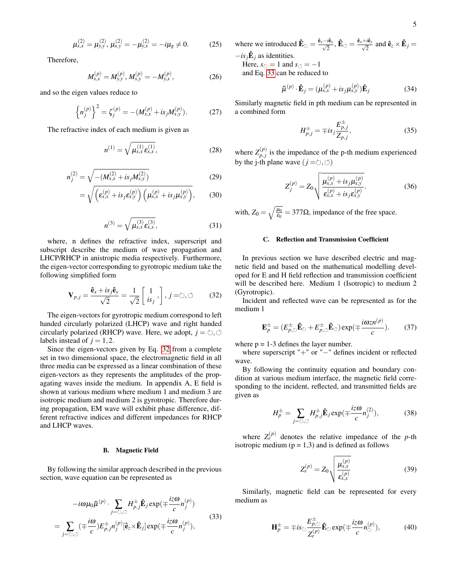$$
\mu_{x,x}^{(2)} = \mu_{y,y}^{(2)}, \mu_{x,y}^{(2)} = -\mu_{y,x}^{(2)} = -i\mu_g \neq 0. \tag{25}
$$

Therefore,

$$
M_{x,x}^{(p)} = M_{y,y}^{(p)}, M_{x,y}^{(p)} = -M_{y,x}^{(p)},
$$
\n(26)

and so the eigen values reduce to

$$
\left\{ n_j^{(p)} \right\}^2 = \zeta_j^{(p)} = -(M_{x,x}^{(p)} + i s_j M_{x,y}^{(p)}). \tag{27}
$$

The refractive index of each medium is given as

$$
n^{(1)} = \sqrt{\mu_{x,x}^{(1)} \varepsilon_{x,x}^{(1)}}, \tag{28}
$$

$$
n_j^{(2)} = \sqrt{-\left(M_{x,x}^{(2)} + is_j M_{x,y}^{(2)}\right)}
$$
(29)

$$
= \sqrt{\left(\varepsilon_{x,x}^{(p)} + is_j \varepsilon_{x,y}^{(p)}\right) \left(\mu_{x,x}^{(p)} + is_j \mu_{x,y}^{(p)}\right)},\qquad(30)
$$

$$
n^{(3)} = \sqrt{\mu_{x,x}^{(3)} \varepsilon_{x,x}^{(3)}}, \tag{31}
$$

where, n defines the refractive index, superscript and subscript describe the medium of wave propagation and LHCP/RHCP in anistropic media respectively. Furthermore, the eigen-vector corresponding to gyrotropic medium take the following simplified form

<span id="page-4-0"></span>
$$
\mathbf{V}_{p,j} = \frac{\hat{\mathbf{e}}_x + is_j \hat{\mathbf{e}}_y}{\sqrt{2}} = \frac{1}{\sqrt{2}} \begin{bmatrix} 1 \\ is_j \end{bmatrix}, j = \circlearrowright, \circlearrowleft \qquad (32)
$$

The eigen-vectors for gyrotropic medium correspond to left handed circularly polarized (LHCP) wave and right handed circularly polarized (RHCP) wave. Here, we adopt,  $j = \circlearrowright, \circlearrowleft$ labels instead of  $j = 1, 2$ .

Since the eigen-vectors given by Eq. [32](#page-4-0) from a complete set in two dimensional space, the electromagnetic field in all three media can be expressed as a linear combination of these eigen-vectors as they represents the amplitudes of the propagating waves inside the medium. In appendix A, E field is shown at various medium where medium 1 and medium 3 are isotropic medium and medium 2 is gyrotropic. Therefore during propagation, EM wave will exhibit phase difference, different refractive indices and different impedances for RHCP and LHCP waves.

### B. Magnetic Field

By following the similar approach described in the previous section, wave equation can be represented as

<span id="page-4-1"></span>
$$
-i\omega\mu_0\tilde{\mu}^{(p)} \cdot \sum_{j=\circlearrowright,\circlearrowleft} H_{p,j}^{\pm} \hat{\mathbf{E}}_j \exp(\mp\frac{iz\omega}{c}n_j^{(p)})
$$
\n
$$
= \sum_{j=\circlearrowright,\circlearrowleft} (\mp\frac{i\omega}{c}) E_{p,j}^{\pm} n_j^{(p)} [\hat{\mathbf{e}}_z \times \hat{\mathbf{E}}_j] \exp(\mp\frac{iz\omega}{c}n_j^{(p)}), \tag{33}
$$

where we introduced  $\mathbf{\hat{E}}_{\circlearrowright} = \frac{\hat{\mathbf{e}}_x - i\hat{\mathbf{e}}_y}{\sqrt{2}}$  $\frac{i\mathbf{\hat{e}}_y}{2}$ ,  $\mathbf{\hat{E}}_{\circlearrowleft} = \frac{\mathbf{\hat{e}}_x + i\mathbf{\hat{e}}_y}{\sqrt{2}}$  $\frac{i\hat{\mathbf{e}}_y}{2}$  and  $\hat{\mathbf{e}}_z \times \hat{\mathbf{E}}_j =$ 

 $-is_j\hat{\mathbf{E}}_j$  as identities.

Here,  $s_{\circ} = 1$  and  $s_{\circ} = -1$ and Eq. [33](#page-4-1) can be reduced to

$$
\tilde{\boldsymbol{\mu}}^{(p)} \cdot \hat{\mathbf{E}}_j = (\boldsymbol{\mu}_{x,x}^{(p)} + i s_j \boldsymbol{\mu}_{x,y}^{(p)}) \hat{\mathbf{E}}_j \tag{34}
$$

Similarly magnetic field in pth medium can be represented in a combined form

$$
H_{p,j}^{\pm} = \mp i s_j \frac{E_{p,j}^{\pm}}{Z_{p,j}},
$$
\n(35)

where  $Z_{n,i}^{(p)}$  $\binom{p}{p}$  is the impedance of the p-th medium experienced by the j-th plane wave  $(j = 0, 0)$ 

$$
Z_j^{(p)} = Z_0 \sqrt{\frac{\mu_{x,x}^{(p)} + is_j \mu_{x,y}^{(p)}}{\varepsilon_{x,x}^{(p)} + is_j \varepsilon_{x,y}^{(p)}}}. \tag{36}
$$

with,  $Z_0 = \sqrt{\frac{\mu_0}{\epsilon_0}} = 377\Omega$ , impedance of the free space.

#### C. Reflection and Transmission Coefficient

In previous section we have described electric and magnetic field and based on the mathematical modelling developed for E and H field reflection and transmission coefficient will be described here. Medium 1 (Isotropic) to medium 2 (Gyrotropic).

Incident and reflected wave can be represented as for the medium 1

$$
\mathbf{E}_{p}^{\pm} = (E_{p,\circlearrowright}^{\pm} \mathbf{\hat{E}}_{\circlearrowright} + E_{p,\circlearrowleft}^{\pm} \mathbf{\hat{E}}_{\circlearrowleft}) \exp(\mp \frac{i\omega_{\mathcal{Z}n}^{(p)}}{c}).
$$
 (37)

where  $p = 1-3$  defines the layer number.

where superscript "+" or "−" defines incident or reflected wave.

By following the continuity equation and boundary condition at various medium interface, the magnetic field corresponding to the incident, reflected, and transmitted fields are given as

$$
H_p^{\pm} = \sum_{j=\circlearrowright,\circlearrowleft} H_{p,j}^{\pm} \hat{\mathbf{E}}_j \exp(\mp \frac{iz\omega}{c} n_j^{(2)}),\tag{38}
$$

where  $Z_r^{(p)}$  denotes the relative impedance of the *p*-th isotropic medium  $(p = 1, 3)$  and is defined as follows

$$
Z_r^{(p)} = Z_0 \sqrt{\frac{\mu_{x,x}^{(p)}}{\epsilon_{x,x}^{(p)}}}
$$
(39)

Similarly, magnetic field can be represented for every medium as

$$
\mathbf{H}_p^{\pm} = \mp i s_{\circlearrowright} \frac{E_{p,\circlearrowright}^{\pm}}{Z_r^{(p)}} \mathbf{\hat{E}}_{\circlearrowright} \exp(\mp \frac{iz\omega}{c} n_{\circlearrowright}^{(p)}),\tag{40}
$$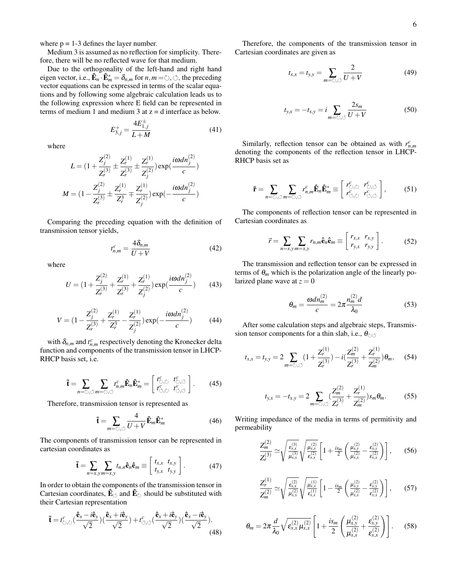where  $p = 1-3$  defines the layer number.

Medium 3 is assumed as no reflection for simplicity. Therefore, there will be no reflected wave for that medium.

Due to the orthogonality of the left-hand and right hand eigen vector, i.e.,  $\mathbf{\hat{E}}_n \cdot \mathbf{\hat{E}}_m^* = \delta_{n,m}$  for  $n, m = \circlearrowright, \circlearrowleft$ , the preceding vector equations can be expressed in terms of the scalar equations and by following some algebraic calculation leads us to the following expression where E field can be represented in terms of medium 1 and medium 3 at  $z = d$  interface as below.

> $E_{3,j}^{+} =$  $4E^\pm_{1,j}$ *L*+*M* (41)

where

$$
L = \left(1 + \frac{Z_j^{(2)}}{Z_r^{(3)}} \pm \frac{Z_r^{(1)}}{Z_r^{(3)}} \pm \frac{Z_r^{(1)}}{Z_j^{(2)}}\right) \exp\left(\frac{i\omega dn_j^{(2)}}{c}\right)
$$

$$
M = \left(1 - \frac{Z_j^{(2)}}{Z_r^{(3)}} \pm \frac{Z_r^{(1)}}{Z_r^{3}} \mp \frac{Z_r^{(1)}}{Z_j^{(2)}}\right) \exp\left(-\frac{i\omega dn_j^{(2)}}{c}\right)
$$

Comparing the preceding equation with the definition of transmission tensor yields,

$$
t_{n,m}^c = \frac{4\delta_{n,m}}{U+V} \tag{42}
$$

where

$$
U = \left(1 + \frac{Z_j^{(2)}}{Z_r^{(3)}} + \frac{Z_r^{(1)}}{Z_r^{(3)}} + \frac{Z_r^{(1)}}{Z_j^{(2)}}\right) \exp\left(\frac{i\omega dn_j^{(2)}}{c}\right) \tag{43}
$$

$$
V = (1 - \frac{Z_j^{(2)}}{Z_r^{(3)}} + \frac{Z_r^{(1)}}{Z_r^3} - \frac{Z_r^{(1)}}{Z_j^{(2)}}) \exp(-\frac{i\omega dn_j^{(2)}}{c})
$$
(44)

with  $\delta_{n,m}$  and  $t_{n,m}^c$  respectively denoting the Kronecker delta function and components of the transmission tensor in LHCP-RHCP basis set, i.e.

$$
\tilde{\mathbf{t}} = \sum_{n=0,\circlearrowleft} \sum_{m=0,\circlearrowleft} t_{n,m}^c \hat{\mathbf{E}}_m \hat{\mathbf{E}}_m^* = \begin{bmatrix} t_{\circlearrowleft, \circlearrowleft}^c & t_{\circlearrowleft, \circlearrowleft}^c \\ t_{\circlearrowleft, \circlearrowleft}^c & t_{\circlearrowleft, \circlearrowleft}^c \end{bmatrix} \end{bmatrix} \right. \right. \right. \qquad (45)
$$

Therefore, transmission tensor is represented as

$$
\tilde{\mathbf{t}} = \sum_{m=0,0} \frac{4}{U+V} \hat{\mathbf{E}}_m \hat{\mathbf{E}}_m^* \tag{46}
$$

The components of transmission tensor can be represented in cartesian coordinates as

$$
\tilde{\mathbf{t}} = \sum_{n=x,y} \sum_{m=x,y} t_{n,n} \hat{\mathbf{e}}_n \hat{\mathbf{e}}_m \equiv \begin{bmatrix} t_{x,x} & t_{x,y} \\ t_{y,x} & t_{y,y} \end{bmatrix} . \tag{47}
$$

In order to obtain the components of the transmission tensor in Cartesian coordinates,  $\hat{\mathbf{E}}_{\odot}$  and  $\hat{\mathbf{E}}_{\odot}$  should be substituted with their Cartesian representation

$$
\tilde{\mathbf{t}} = t_{\circlearrowleft, \circlearrowright}^c \left( \frac{\hat{\mathbf{e}}_x - i \hat{\mathbf{e}}_y}{\sqrt{2}} \right) \left( \frac{\hat{\mathbf{e}}_x + i \hat{\mathbf{e}}_y}{\sqrt{2}} \right) + t_{\circlearrowleft, \circlearrowleft}^c \left( \frac{\hat{\mathbf{e}}_x + i \hat{\mathbf{e}}_y}{\sqrt{2}} \right) \left( \frac{\hat{\mathbf{e}}_x - i \hat{\mathbf{e}}_y}{\sqrt{2}} \right). \tag{48}
$$

Therefore, the components of the transmission tensor in Cartesian coordinates are given as

<span id="page-5-0"></span>
$$
t_{x,x} = t_{y,y} = \sum_{m=0,\circlearrowleft} \frac{2}{U+V} \tag{49}
$$

<span id="page-5-1"></span>
$$
t_{y,x} = -t_{x,y} = i \sum_{m=0,\circlearrowleft} \frac{2s_m}{U+V} \tag{50}
$$

Similarly, reflection tensor can be obtained as with  $r_{n,m}^c$ denoting the components of the reflection tensor in LHCP-RHCP basis set as

$$
\tilde{\mathbf{r}} = \sum_{n=0,\circlearrowleft} \sum_{m=0,\circlearrowleft} r_{n,m}^c \hat{\mathbf{E}}_n \hat{\mathbf{E}}_m^* \equiv \begin{bmatrix} r_{\circlearrowleft,\circlearrowleft}^c & r_{\circlearrowleft,\circlearrowleft}^c \\ r_{\circlearrowleft,\circlearrowright}^c & r_{\circlearrowleft,\circlearrowleft}^c \end{bmatrix} \end{bmatrix},\tag{51}
$$

The components of reflection tensor can be represented in Cartesian coordinates as

$$
\vec{r} = \sum_{n=x,y} \sum_{m=x,y} r_{n,m} \hat{\mathbf{e}}_n \hat{\mathbf{e}}_m \equiv \begin{bmatrix} r_{x,x} & r_{x,y} \\ r_{y,x} & r_{y,y} \end{bmatrix} . \tag{52}
$$

The transmission and reflection tensor can be expressed in terms of  $\theta_m$  which is the polarization angle of the linearly polarized plane wave at  $z = 0$ 

$$
\theta_m = \frac{\omega d n_m^{(2)}}{c} = 2\pi \frac{n_m^{(2)} d}{\lambda_0} \tag{53}
$$

After some calculation steps and algebraic steps, Transmission tensor components for a thin slab, i.e.,  $\theta_{\circ}$ 

$$
t_{x,x} = t_{y,y} = 2 \sum_{m=0,\circlearrowleft} (1 + \frac{Z_r^{(1)}}{Z_r^{(3)}}) - i \left( \frac{Z_m^{(2)}}{Z_r^{(3)}} + \frac{Z_r^{(1)}}{Z_m^{(2)}} \right) \theta_m, \quad (54)
$$

$$
t_{y,x} = -t_{x,y} = 2 \sum_{m=0,0} \left( \frac{Z_m^{(2)}}{Z_r^{(3)}} + \frac{Z_r^{(1)}}{Z_m^{(2)}} \right) s_m \theta_m.
$$
 (55)

Writing impedance of the media in terms of permitivity and permeability

$$
\frac{Z_m^{(2)}}{Z_r^{(3)}} \simeq \sqrt{\frac{\varepsilon_{x,x}^{(3)}}{\mu_{x,x}^{(3)}}} \sqrt{\frac{\mu_{x,x}^{(2)}}{\varepsilon_{x,x}^{(2)}}} \left[1 + \frac{is_m}{2} \left(\frac{\mu_{x,y}^{(2)}}{\mu_{x,x}^{(2)}} - \frac{\varepsilon_{x,y}^{(2)}}{\varepsilon_{x,x}^{(2)}}\right)\right],
$$
 (56)

$$
\frac{Z_r^{(1)}}{Z_m^{(2)}} \simeq \sqrt{\frac{\varepsilon_{x,x}^{(2)}}{\mu_{x,x}^{(2)}}} \sqrt{\frac{\mu_{x,x}^{(1)}}{\varepsilon_{x,x}^{(1)}}} \left[1 - \frac{is_m}{2} \left(\frac{\mu_{x,y}^{(2)}}{\mu_{x,x}^{(2)}} - \frac{\varepsilon_{x,y}^{(2)}}{\varepsilon_{x,x}^{(2)}}\right)\right],\qquad(57)
$$

$$
\theta_m = 2\pi \frac{d}{\lambda_0} \sqrt{\varepsilon_{x,x}^{(2)} \mu_{x,x}^{(2)}} \left[ 1 + \frac{is_m}{2} \left( \frac{\mu_{x,y}^{(2)}}{\mu_{x,x}^{(2)}} + \frac{\varepsilon_{x,y}^{(2)}}{\varepsilon_{x,x}^{(2)}} \right) \right].
$$
 (58)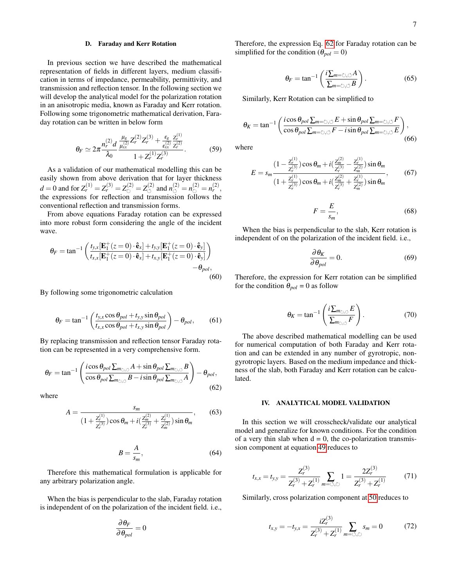### D. Faraday and Kerr Rotation

In previous section we have described the mathematical representation of fields in different layers, medium classification in terms of impedance, permeability, permittivity, and transmission and reflection tensor. In the following section we will develop the analytical model for the polarization rotation in an anisotropic media, known as Faraday and Kerr rotation. Following some trigonometric mathematical derivation, Faraday rotation can be written in below form

$$
\theta_F \simeq 2\pi \frac{n_r^{(2)}}{\lambda_0} \frac{d}{\mu_{xx}^{(2)}} \frac{Z_r^{(2)} Z_r^{(3)} + \frac{\varepsilon_g}{\varepsilon_{xx}^{(2)}} \frac{Z_r^{(1)}}{Z_r^{(2)}}}{1 + Z_r^{(1)} Z_r^{(3)}}.
$$
(59)

As a validation of our mathematical modelling this can be easily shown from above derivation that for layer thickness  $d = 0$  and for  $Z_r^{(1)} = Z_r^{(3)} = Z_\circlearrowright^{(2)} = Z_\circlearrowleft^{(2)}$  and  $n_\circlearrowleft^{(2)} = n_\circlearrowright^{(2)} = n_r^{(2)}$ , the expressions for reflection and transmission follows the conventional reflection and transmission forms.

From above equations Faraday rotation can be expressed into more robust form considering the angle of the incident wave.

$$
\theta_F = \tan^{-1} \left( \frac{t_{y,x}[\mathbf{E}_1^+(z=0) \cdot \hat{\mathbf{e}}_x] + t_{y,y}[\mathbf{E}_1^+(z=0) \cdot \hat{\mathbf{e}}_y]}{t_{x,x}[\mathbf{E}_1^+(z=0) \cdot \hat{\mathbf{e}}_x] + t_{x,y}[\mathbf{E}_1^+(z=0) \cdot \hat{\mathbf{e}}_y]} \right) - \theta_{pol},
$$
\n(60)

By following some trigonometric calculation

$$
\theta_F = \tan^{-1}\left(\frac{t_{y,x}\cos\theta_{pol} + t_{y,y}\sin\theta_{pol}}{t_{x,x}\cos\theta_{pol} + t_{x,y}\sin\theta_{pol}}\right) - \theta_{pol},\qquad(61)
$$

By replacing transmission and reflection tensor Faraday rotation can be represented in a very comprehensive form.

<span id="page-6-0"></span>
$$
\theta_F = \tan^{-1} \left( \frac{i \cos \theta_{pol} \sum_{m_{\circ, \circlearrowleft} A} A + \sin \theta_{pol} \sum_{m_{\circ, \circlearrowleft} B} B}{\cos \theta_{pol} \sum_{m_{\circ, \circlearrowleft} B} B - i \sin \theta_{pol} \sum_{m_{\circ, \circlearrowleft} A} B} \right) - \theta_{pol}, \right. \tag{62}
$$

where

$$
A = \frac{s_m}{\left(1 + \frac{Z_r^{(1)}}{Z_r^{(3)}}\right)\cos\theta_m + i\left(\frac{Z_m^{(2)}}{Z_r^{(3)}} + \frac{Z_r^{(1)}}{Z_m^{(2)}}\right)\sin\theta_m},\qquad(63)
$$

$$
B = \frac{A}{s_m},\tag{64}
$$

Therefore this mathematical formulation is applicable for any arbitrary polarization angle.

When the bias is perpendicular to the slab, Faraday rotation is independent of on the polarization of the incident field. i.e.,

$$
\frac{\partial \theta_F}{\partial \theta_{pol}} = 0
$$

Therefore, the expression Eq. [62](#page-6-0) for Faraday rotation can be simplified for the condition ( $\theta_{pol} = 0$ )

$$
\theta_F = \tan^{-1}\left(\frac{i\sum_{m=\circlearrowright,\circlearrowleft} A}{\sum_{m=\circlearrowright,\circlearrowleft} B}\right). \tag{65}
$$

Similarly, Kerr Rotation can be simplified to

$$
\theta_K = \tan^{-1} \left( \frac{i \cos \theta_{pol} \sum_{m=-\circlearrowright, \circlearrowleft} E + \sin \theta_{pol} \sum_{m=-\circlearrowright, \circlearrowleft} F}{\cos \theta_{pol} \sum_{m=-\circlearrowright, \circlearrowleft} F - i \sin \theta_{pol} \sum_{m=-\circlearrowright, \circlearrowleft} E} \right),\tag{66}
$$

where

$$
E = s_m \frac{\left(1 - \frac{Z_r^{(1)}}{Z_r^{(3)}}\right) \cos \theta_m + i\left(\frac{Z_m^{(2)}}{Z_r^{(3)}} - \frac{Z_r^{(1)}}{Z_m^{(2)}}\right) \sin \theta_m}{\left(1 + \frac{Z_r^{(1)}}{Z_r^{(3)}}\right) \cos \theta_m + i\left(\frac{Z_m^{(2)}}{Z_r^{(3)}} + \frac{Z_r^{(1)}}{Z_m^{(2)}}\right) \sin \theta_m},\tag{67}
$$

$$
F = \frac{E}{s_m},\tag{68}
$$

When the bias is perpendicular to the slab, Kerr rotation is independent of on the polarization of the incident field. i.e.,

$$
\frac{\partial \theta_K}{\partial \theta_{pol}} = 0. \tag{69}
$$

Therefore, the expression for Kerr rotation can be simplified for the condition  $\theta_{pol} = 0$  as follow

$$
\theta_K = \tan^{-1}\left(\frac{i\sum_{m_{\circlearrowright,\circlearrowleft}E}}{\sum_{m_{\circlearrowright,\circlearrowleft}F}}\right). \tag{70}
$$

The above described mathematical modelling can be used for numerical computation of both Faraday and Kerr rotation and can be extended in any number of gyrotropic, nongyrotropic layers. Based on the medium impedance and thickness of the slab, both Faraday and Kerr rotation can be calculated.

### IV. ANALYTICAL MODEL VALIDATION

In this section we will crosscheck/validate our analytical model and generalize for known conditions. For the condition of a very thin slab when  $d = 0$ , the co-polarization transmission component at equation [49](#page-5-0) reduces to

$$
t_{x,x} = t_{y,y} = \frac{Z_r^{(3)}}{Z_r^{(3)} + Z_r^{(1)}} \sum_{m = \circlearrowleft, \circlearrowright} 1 = \frac{2Z_r^{(3)}}{Z_r^{(3)} + Z_r^{(1)}} \tag{71}
$$

Similarly, cross polarization component at [50](#page-5-1) reduces to

$$
t_{x,y} = -t_{y,x} = \frac{iZ_r^{(3)}}{Z_r^{(3)} + Z_r^{(1)}} \sum_{m=0,\circlearrowright} s_m = 0 \tag{72}
$$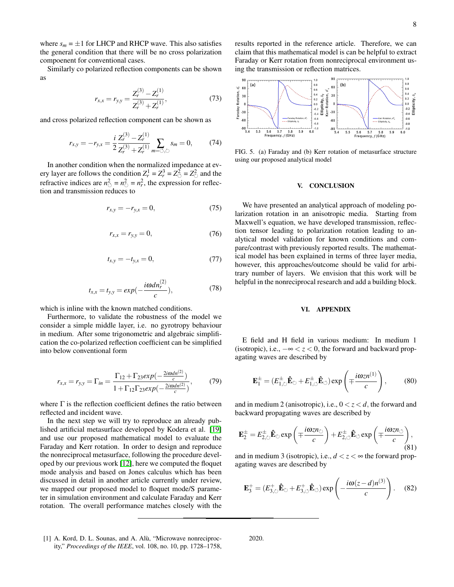where  $s_m = \pm 1$  for LHCP and RHCP wave. This also satisfies the general condition that there will be no cross polarization compoenent for conventional cases.

Similarly co polarized reflection components can be shown as

$$
r_{x,x} = r_{y,y} = \frac{Z_r^{(3)} - Z_r^{(1)}}{Z_r^{(3)} + Z_r^{(1)}},\tag{73}
$$

and cross polarized reflection component can be shown as

$$
r_{x,y} = -r_{y,x} = \frac{i}{2} \frac{Z_r^{(3)} - Z_r^{(1)}}{Z_r^{(3)} + Z_r^{(1)}} \sum_{m=0,\circlearrowright} s_m = 0, \quad (74)
$$

In another condition when the normalized impedance at every layer are follows the condition  $Z_r^1 = Z_r^3 = Z_\circ^2 = Z_\circ^2$  and the refractive indices are  $n_{\circlearrowleft}^2 = n_{\circlearrowright}^2 = n_r^2$ , the expression for reflection and transmission reduces to

$$
r_{x,y} = -r_{y,x} = 0,\t\t(75)
$$

$$
r_{x,x} = r_{y,y} = 0,\t\t(76)
$$

$$
t_{x,y} = -t_{y,x} = 0, \t\t(77)
$$

$$
t_{x,x} = t_{y,y} = exp(-\frac{i\omega dn_r^{(2)}}{c}),
$$
 (78)

which is inline with the known matched conditions.

Furthermore, to validate the robustness of the model we consider a simple middle layer, i.e. no gyrotropy behaviour in medium. After some trigonometric and algebraic simplification the co-polarized reflection coefficient can be simplified into below conventional form

$$
r_{x,x} = r_{y,y} = \Gamma_{in} = \frac{\Gamma_{12} + \Gamma_{23} exp(-\frac{2i\omega dn^{(2)}}{c})}{1 + \Gamma_{12} \Gamma_{23} exp(-\frac{2i\omega dn^{(2)}}{c})},
$$
(79)

where  $\Gamma$  is the reflection coefficient defines the ratio between reflected and incident wave.

In the next step we will try to reproduce an already published artificial metasurface developed by Kodera et al. [\[19\]](#page-8-14) and use our proposed mathematical model to evaluate the Faraday and Kerr rotation. In order to design and reproduce the nonreciprocal metasurface, following the procedure developed by our previous work [\[12\]](#page-8-7), here we computed the floquet mode analysis and based on Jones calculus which has been discussed in detail in another article currently under review, we mapped our proposed model to floquet mode/S parameter in simulation environment and calculate Faraday and Kerr rotation. The overall performance matches closely with the results reported in the reference article. Therefore, we can claim that this mathematical model is can be helpful to extract Faraday or Kerr rotation from nonreciprocal environment using the transmission or reflection matrices.



FIG. 5. (a) Faraday and (b) Kerr rotation of metasurface structure using our proposed analytical model

#### V. CONCLUSION

We have presented an analytical approach of modeling polarization rotation in an anisotropic media. Starting from Maxwell's equation, we have developed transmission, reflection tensor leading to polarization rotation leading to analytical model validation for known conditions and compare/contrast with previously reported results. The mathematical model has been explained in terms of three layer media, however, this approaches/outcome should be valid for arbitrary number of layers. We envision that this work will be helpful in the nonreciprocal research and add a building block.

#### VI. APPENDIX

E field and H field in various medium: In medium 1 (isotropic), i.e.,  $-\infty < z < 0$ , the forward and backward propagating waves are described by

$$
\mathbf{E}_{1}^{\pm} = (E_{1,\circ}^{\pm} \mathbf{\hat{E}}_{\circ} + E_{1,\circ}^{\pm} \mathbf{\hat{E}}_{\circ}) \exp\left(\mp \frac{i\omega z n^{(1)}}{c}\right),\tag{80}
$$

and in medium 2 (anisotropic), i.e.,  $0 < z < d$ , the forward and backward propagating waves are described by

$$
\mathbf{E}_{2}^{\pm} = E_{2,\circ}^{\pm} \mathbf{\hat{E}}_{\circ} \exp\left(\mp \frac{i\omega z n_{\circlearrowright}}{c}\right) + E_{2,\circ}^{\pm} \mathbf{\hat{E}}_{\circ} \exp\left(\mp \frac{i\omega z n_{\circlearrowleft}}{c}\right),\tag{81}
$$

and in medium 3 (isotropic), i.e.,  $d < z < \infty$  the forward propagating waves are described by

$$
\mathbf{E}_3^+ = (E_{3,\circ}^+ \hat{\mathbf{E}}_{\circlearrowleft} + E_{3,\circ}^+ \hat{\mathbf{E}}_{\circlearrowleft}) \exp\left(-\frac{i\omega(z-d)n^{(3)}}{c}\right). \quad (82)
$$

2020.

<span id="page-7-0"></span><sup>[1]</sup> A. Kord, D. L. Sounas, and A. Alù, "Microwave nonreciprocity," *Proceedings of the IEEE*, vol. 108, no. 10, pp. 1728–1758,